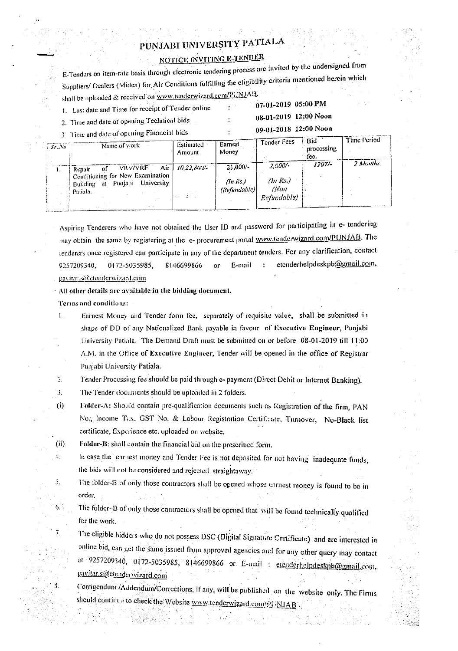## PUNJABI UNIVERSITY PATIALA

## **NOTICE INVITING E-TENDER**

E-Tenders on item-rate basis through electronic tendering process are invited by the undersigned from Suppliers/ Dealers (Midea) for Air Conditions fulfilling the eligibility criteria mentioned herein which shall be uploaded & received on www.tenderwizard.com/PUNJAB.

 $\ddot{\cdot}$ 

 $\ddot{\cdot}$ 

 $\ddot{\cdot}$ 

1. Last date and Time for receipt of Tender online

07-01-2019 05:00 PM

2. Time and date of opening Technical bids 3 Time and date of opening Financial bids

| 08-01-2019 12:00 Noon |
|-----------------------|
| 09-01-2018 12:00 Noon |

| $S^*$ No | Name of work                                                                                                      | Estimated<br>Amount | Earnest<br>Money                                            | Tender Fees                                   | -Bid<br>processing<br>fee. | Time Period |
|----------|-------------------------------------------------------------------------------------------------------------------|---------------------|-------------------------------------------------------------|-----------------------------------------------|----------------------------|-------------|
| ι.       | <b>VRV/VRF</b><br>'nf<br>Repair<br>Conditioning for New Examination<br>Building at Punjabi University<br>Patiala. | Air $110.22.800/-$  | $21.000 -$<br>(ln Rs)<br>$\langle\textit{Refimdale}\rangle$ | $2.000/-$<br>$(n$ Rs.)<br>(Non<br>Refundable) | $1207 -$                   | 2 Months    |

Aspiring Tenderers who have not obtained the User ID and password for participating in e- tendering may obtain the same by registering at the e- procurement portal www.tenderwizard.com/PUNJAB. The tenderers once registered can participate in any of the department tenders. For any clarification, contact etenderhelpdeskpb@gmail.com, 9257209340, 0172-5035985, 8146699866 E-mail pavitar.s@etenderwizard.com

All other details are available in the bidding document.

Terms and conditions:

 $4.$ 

5.

6.

 $7<sub>1</sub>$ 

8.

Earnest Money and Tender form fee, separately of requisite value, shall be submitted in I. shape of DD of any Nationalized Bank payable in favour of Executive Engineer, Punjabi University Patiala. The Demand Draft must be submitted on or before 08-01-2019 till 11:00 A.M. in the Office of Executive Engineer, Tender will be opened in the office of Registrar Punjabi University Patiala.

 $2.$ Tender Processing fee should be paid through e- payment (Direct Debit or Internet Banking).

3. The Tender documents should be uploaded in 2 folders.

Folder-A: Should contain pre-qualification documents such as Registration of the firm, PAN  $(i)$ No., Income Tax. GST No. & Labour Registration Certificate, Turnover, No-Black list certificate, Experience etc. uploaded on website.

 $(ii)$ Folder-B: shall contain the financial bid on the prescribed form.

- In case the earnest money and Tender Fee is not deposited for not having inadequate funds, the bids will not be considered and rejected straightaway.
- The folder-B of only those contractors shall be opened whose carnest money is found to be in order.

The folder-B of only those contractors shall be opened that will be found technically qualified for the work.

The eligible bidders who do not possess DSC (Digital Signature Certificate) and are interested in online bid, can get the same issued from approved agencies and for any other query may contact at 9257209340, 0172-5035985, 8146699866 or E-mail: etcnderhelpdeskpb@gmail.com, pavitar s@etenderwizard.com

Corrigendum /Addendum/Corrections, if any, will be published on the website only. The Firms should continue to check the Website www.tenderwizard.com/f/ NJAB